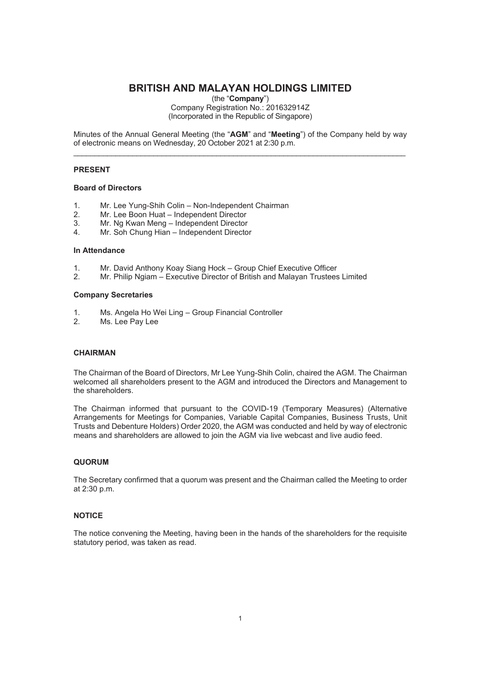# **BRITISH AND MALAYAN HOLDINGS LIMITED**

(the "**Company**")

Company Registration No.: 201632914Z (Incorporated in the Republic of Singapore)

Minutes of the Annual General Meeting (the "**AGM**" and "**Meeting**") of the Company held by way of electronic means on Wednesday, 20 October 2021 at 2:30 p.m.  $\_$  , and the set of the set of the set of the set of the set of the set of the set of the set of the set of the set of the set of the set of the set of the set of the set of the set of the set of the set of the set of th

## **PRESENT**

#### **Board of Directors**

- 1. Mr. Lee Yung-Shih Colin Non-Independent Chairman
- 2. Mr. Lee Boon Huat Independent Director
- 3. Mr. Ng Kwan Meng Independent Director
- 4. Mr. Soh Chung Hian Independent Director

#### **In Attendance**

- 1. Mr. David Anthony Koay Siang Hock Group Chief Executive Officer
- 2. Mr. Philip Ngiam Executive Director of British and Malayan Trustees Limited

#### **Company Secretaries**

- 1. Ms. Angela Ho Wei Ling Group Financial Controller
- 2. Ms. Lee Pay Lee

## **CHAIRMAN**

The Chairman of the Board of Directors, Mr Lee Yung-Shih Colin, chaired the AGM. The Chairman welcomed all shareholders present to the AGM and introduced the Directors and Management to the shareholders.

The Chairman informed that pursuant to the COVID-19 (Temporary Measures) (Alternative Arrangements for Meetings for Companies, Variable Capital Companies, Business Trusts, Unit Trusts and Debenture Holders) Order 2020, the AGM was conducted and held by way of electronic means and shareholders are allowed to join the AGM via live webcast and live audio feed.

# **QUORUM**

The Secretary confirmed that a quorum was present and the Chairman called the Meeting to order at 2:30 p.m.

#### **NOTICE**

The notice convening the Meeting, having been in the hands of the shareholders for the requisite statutory period, was taken as read.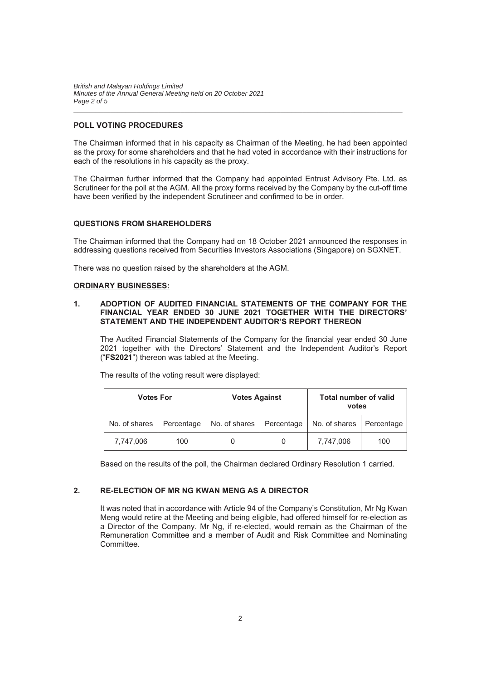*British and Malayan Holdings Limited Minutes of the Annual General Meeting held on 20 October 2021 Page 2 of 5* 

## **POLL VOTING PROCEDURES**

The Chairman informed that in his capacity as Chairman of the Meeting, he had been appointed as the proxy for some shareholders and that he had voted in accordance with their instructions for each of the resolutions in his capacity as the proxy.

 $\_$  . The contribution of the contribution of the contribution of the contribution of the contribution of the contribution of the contribution of the contribution of the contribution of the contribution of the contributio

The Chairman further informed that the Company had appointed Entrust Advisory Pte. Ltd. as Scrutineer for the poll at the AGM. All the proxy forms received by the Company by the cut-off time have been verified by the independent Scrutineer and confirmed to be in order.

#### **QUESTIONS FROM SHAREHOLDERS**

The Chairman informed that the Company had on 18 October 2021 announced the responses in addressing questions received from Securities Investors Associations (Singapore) on SGXNET.

There was no question raised by the shareholders at the AGM.

#### **ORDINARY BUSINESSES:**

## **1. ADOPTION OF AUDITED FINANCIAL STATEMENTS OF THE COMPANY FOR THE FINANCIAL YEAR ENDED 30 JUNE 2021 TOGETHER WITH THE DIRECTORS' STATEMENT AND THE INDEPENDENT AUDITOR'S REPORT THEREON**

The Audited Financial Statements of the Company for the financial year ended 30 June 2021 together with the Directors' Statement and the Independent Auditor's Report ("**FS2021**") thereon was tabled at the Meeting.

The results of the voting result were displayed:

| <b>Votes For</b> |            | <b>Votes Against</b> |            | <b>Total number of valid</b><br>votes |            |
|------------------|------------|----------------------|------------|---------------------------------------|------------|
| No. of shares    | Percentage | No. of shares        | Percentage | No. of shares                         | Percentage |
| 7.747.006        | 100        |                      | O          | 7.747.006                             | 100        |

Based on the results of the poll, the Chairman declared Ordinary Resolution 1 carried.

# **2. RE-ELECTION OF MR NG KWAN MENG AS A DIRECTOR**

It was noted that in accordance with Article 94 of the Company's Constitution, Mr Ng Kwan Meng would retire at the Meeting and being eligible, had offered himself for re-election as a Director of the Company. Mr Ng, if re-elected, would remain as the Chairman of the Remuneration Committee and a member of Audit and Risk Committee and Nominating Committee.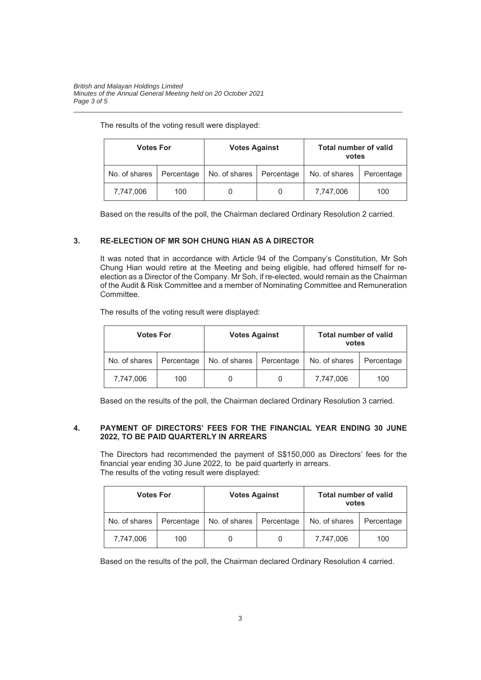## The results of the voting result were displayed:

| Votes For     |            | <b>Votes Against</b> |            | <b>Total number of valid</b><br>votes |            |
|---------------|------------|----------------------|------------|---------------------------------------|------------|
| No. of shares | Percentage | No. of shares        | Percentage | No. of shares                         | Percentage |
| 7,747,006     | 100        |                      |            | 7.747.006                             | 100        |

 $\_$  . The contribution of the contribution of the contribution of the contribution of the contribution of the contribution of the contribution of the contribution of the contribution of the contribution of the contributio

Based on the results of the poll, the Chairman declared Ordinary Resolution 2 carried.

# **3. RE-ELECTION OF MR SOH CHUNG HIAN AS A DIRECTOR**

It was noted that in accordance with Article 94 of the Company's Constitution, Mr Soh Chung Hian would retire at the Meeting and being eligible, had offered himself for reelection as a Director of the Company. Mr Soh, if re-elected, would remain as the Chairman of the Audit & Risk Committee and a member of Nominating Committee and Remuneration Committee.

The results of the voting result were displayed:

| <b>Votes For</b> |            | <b>Votes Against</b> |            | <b>Total number of valid</b><br>votes |            |
|------------------|------------|----------------------|------------|---------------------------------------|------------|
| No. of shares    | Percentage | No. of shares        | Percentage | No. of shares                         | Percentage |
| 7,747,006        | 100        |                      |            | 7,747,006                             | 100        |

Based on the results of the poll, the Chairman declared Ordinary Resolution 3 carried.

# **4. PAYMENT OF DIRECTORS' FEES FOR THE FINANCIAL YEAR ENDING 30 JUNE 2022, TO BE PAID QUARTERLY IN ARREARS**

The Directors had recommended the payment of S\$150,000 as Directors' fees for the financial year ending 30 June 2022, to be paid quarterly in arrears. The results of the voting result were displayed:

| <b>Votes For</b> |            | <b>Votes Against</b> |            | <b>Total number of valid</b><br>votes |            |
|------------------|------------|----------------------|------------|---------------------------------------|------------|
| No. of shares    | Percentage | No. of shares        | Percentage | No. of shares                         | Percentage |
| 7,747,006        | 100        |                      |            | 7.747.006                             | 100        |

Based on the results of the poll, the Chairman declared Ordinary Resolution 4 carried.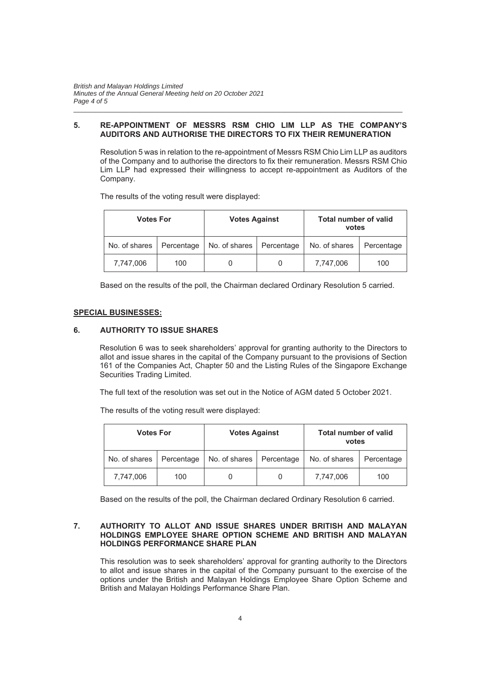*British and Malayan Holdings Limited Minutes of the Annual General Meeting held on 20 October 2021 Page 4 of 5* 

## **5. RE-APPOINTMENT OF MESSRS RSM CHIO LIM LLP AS THE COMPANY'S AUDITORS AND AUTHORISE THE DIRECTORS TO FIX THEIR REMUNERATION**

 $\_$  . The contribution of the contribution of the contribution of the contribution of the contribution of the contribution of the contribution of the contribution of the contribution of the contribution of the contributio

Resolution 5 was in relation to the re-appointment of Messrs RSM Chio Lim LLP as auditors of the Company and to authorise the directors to fix their remuneration. Messrs RSM Chio Lim LLP had expressed their willingness to accept re-appointment as Auditors of the Company.

The results of the voting result were displayed:

| <b>Votes For</b> |            | <b>Votes Against</b> |            | <b>Total number of valid</b><br>votes |            |
|------------------|------------|----------------------|------------|---------------------------------------|------------|
| No. of shares    | Percentage | No. of shares        | Percentage | No. of shares                         | Percentage |
| 7,747,006        | 100        |                      |            | 7,747,006                             | 100        |

Based on the results of the poll, the Chairman declared Ordinary Resolution 5 carried.

#### **SPECIAL BUSINESSES:**

## **6. AUTHORITY TO ISSUE SHARES**

Resolution 6 was to seek shareholders' approval for granting authority to the Directors to allot and issue shares in the capital of the Company pursuant to the provisions of Section 161 of the Companies Act, Chapter 50 and the Listing Rules of the Singapore Exchange Securities Trading Limited.

The full text of the resolution was set out in the Notice of AGM dated 5 October 2021.

The results of the voting result were displayed:

| <b>Votes For</b> |            | <b>Votes Against</b> |            | <b>Total number of valid</b><br>votes |            |
|------------------|------------|----------------------|------------|---------------------------------------|------------|
| No. of shares    | Percentage | No. of shares        | Percentage | No. of shares                         | Percentage |
| 7.747.006        | 100        |                      |            | 7.747.006                             | 100        |

Based on the results of the poll, the Chairman declared Ordinary Resolution 6 carried.

## **7. AUTHORITY TO ALLOT AND ISSUE SHARES UNDER BRITISH AND MALAYAN HOLDINGS EMPLOYEE SHARE OPTION SCHEME AND BRITISH AND MALAYAN HOLDINGS PERFORMANCE SHARE PLAN**

This resolution was to seek shareholders' approval for granting authority to the Directors to allot and issue shares in the capital of the Company pursuant to the exercise of the options under the British and Malayan Holdings Employee Share Option Scheme and British and Malayan Holdings Performance Share Plan.